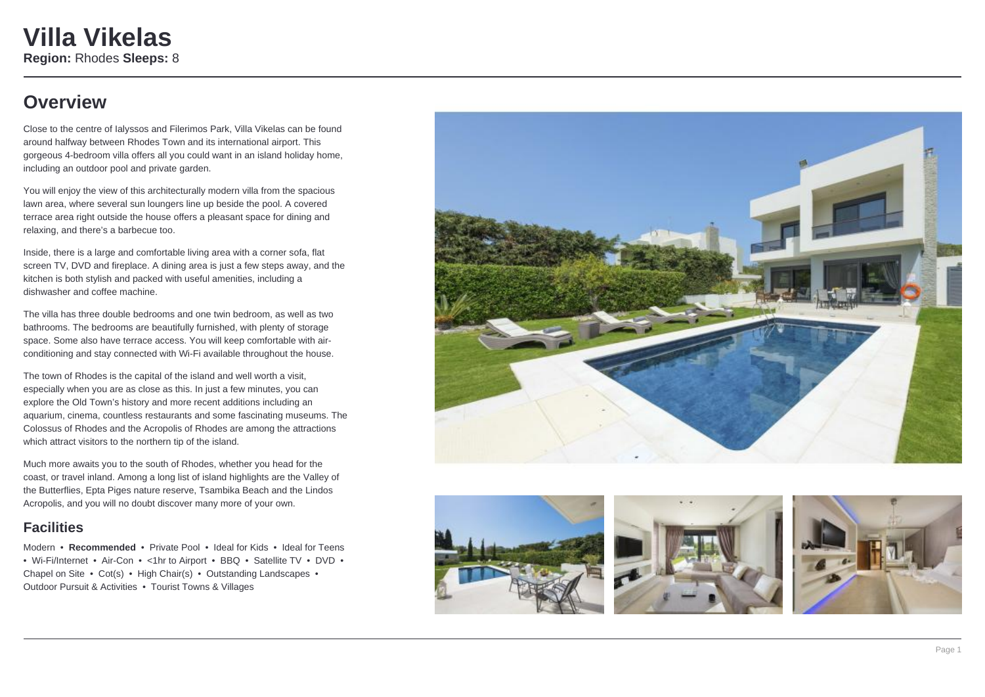## **Overview**

Close to the centre of Ialyssos and Filerimos Park, Villa Vikelas can be found around halfway between Rhodes Town and its international airport. This gorgeous 4-bedroom villa offers all you could want in an island holiday home, including an outdoor pool and private garden.

You will enjoy the view of this architecturally modern villa from the spacious lawn area, where several sun loungers line up beside the pool. A covered terrace area right outside the house offers a pleasant space for dining and relaxing, and there's a barbecue too.

Inside, there is a large and comfortable living area with a corner sofa, flat screen TV, DVD and fireplace. A dining area is just a few steps away, and the kitchen is both stylish and packed with useful amenities, including a dishwasher and coffee machine.

The villa has three double bedrooms and one twin bedroom, as well as two bathrooms. The bedrooms are beautifully furnished, with plenty of storage space. Some also have terrace access. You will keep comfortable with airconditioning and stay connected with Wi-Fi available throughout the house.

The town of Rhodes is the capital of the island and well worth a visit, especially when you are as close as this. In just a few minutes, you can explore the Old Town's history and more recent additions including an aquarium, cinema, countless restaurants and some fascinating museums. The Colossus of Rhodes and the Acropolis of Rhodes are among the attractions which attract visitors to the northern tip of the island.

Much more awaits you to the south of Rhodes, whether you head for the coast, or travel inland. Among a long list of island highlights are the Valley of the Butterflies, Epta Piges nature reserve, Tsambika Beach and the Lindos Acropolis, and you will no doubt discover many more of your own.

#### **Facilities**

Modern • **Recommended** • Private Pool • Ideal for Kids • Ideal for Teens • Wi-Fi/Internet • Air-Con • <1hr to Airport • BBQ • Satellite TV • DVD • Chapel on Site • Cot(s) • High Chair(s) • Outstanding Landscapes • Outdoor Pursuit & Activities • Tourist Towns & Villages







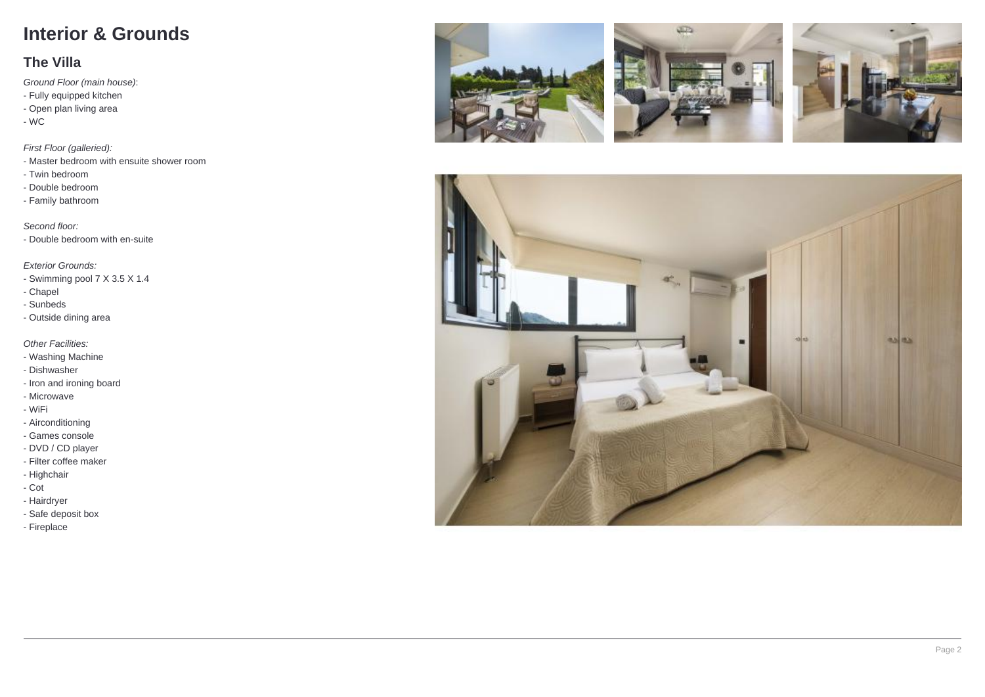# **Interior & Grounds**

#### **The Villa**

Ground Floor (main house) :

- Fully equipped kitchen
- Open plan living area
- WC

#### First Floor (galleried):

- Master bedroom with ensuite shower room
- Twin bedroom
- Double bedroom
- Family bathroom

Second floor:

- Double bedroom with en-suite

Exterior Grounds:

- Swimming pool 7 X 3.5 X 1.4
- Chapel
- Sunbeds
- Outside dining area

**Other Facilities:** 

- Washing Machine
- Dishwasher
- Iron and ironing board
- Microwave
- WiFi
- Airconditioning
- Games console
- DVD / CD player
- Filter coffee maker
- Highchair
- Cot
- Hairdryer
- Safe deposit box
- Fireplace







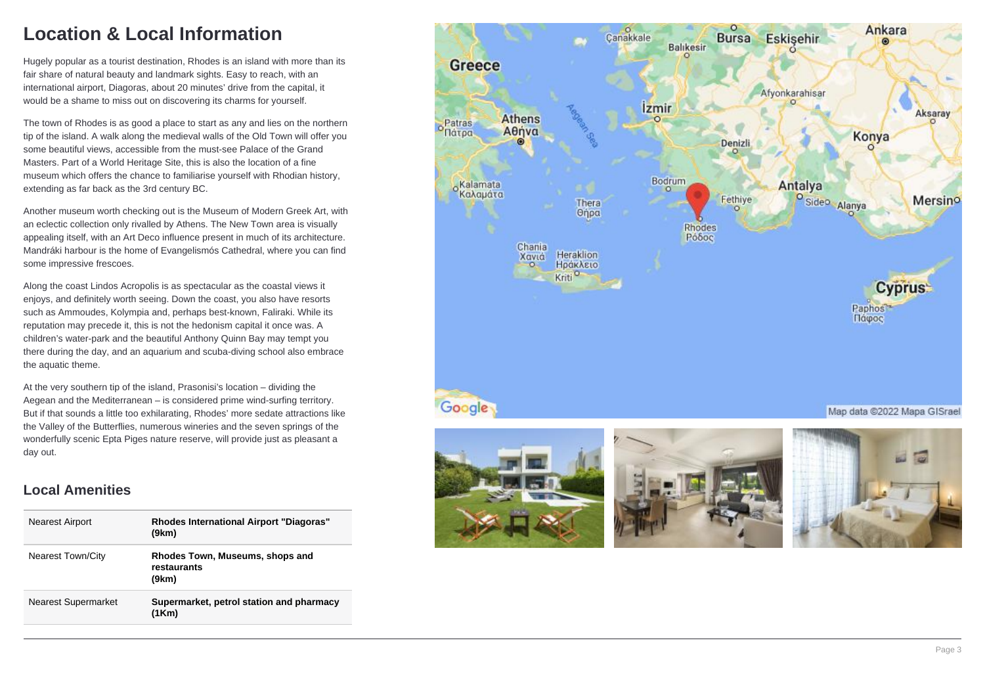## **Location & Local Information**

Hugely popular as a tourist destination, Rhodes is an island with more than its fair share of natural beauty and landmark sights. Easy to reach, with an international airport, Diagoras, about 20 minutes' drive from the capital, it would be a shame to miss out on discovering its charms for yourself.

The town of Rhodes is as good a place to start as any and lies on the northern tip of the island. A walk along the medieval walls of the Old Town will offer you some beautiful views, accessible from the must-see Palace of the Grand Masters. Part of a World Heritage Site, this is also the location of a fine museum which offers the chance to familiarise yourself with Rhodian history, extending as far back as the 3rd century BC.

Another museum worth checking out is the Museum of Modern Greek Art, with an eclectic collection only rivalled by Athens. The New Town area is visually appealing itself, with an Art Deco influence present in much of its architecture. Mandráki harbour is the home of Evangelismós Cathedral, where you can find some impressive frescoes.

Along the coast Lindos Acropolis is as spectacular as the coastal views it enjoys, and definitely worth seeing. Down the coast, you also have resorts such as Ammoudes, Kolympia and, perhaps best-known, Faliraki. While its reputation may precede it, this is not the hedonism capital it once was. A children's water-park and the beautiful Anthony Quinn Bay may tempt you there during the day, and an aquarium and scuba-diving school also embrace the aquatic theme.

At the very southern tip of the island, Prasonisi's location – dividing the Aegean and the Mediterranean – is considered prime wind-surfing territory. But if that sounds a little too exhilarating, Rhodes' more sedate attractions like the Valley of the Butterflies, numerous wineries and the seven springs of the wonderfully scenic Epta Piges nature reserve, will provide just as pleasant a day out.

### **Local Amenities**

| <b>Nearest Airport</b>     | <b>Rhodes International Airport "Diagoras"</b><br>(9km) |
|----------------------------|---------------------------------------------------------|
| <b>Nearest Town/City</b>   | Rhodes Town, Museums, shops and<br>restaurants<br>(9km) |
| <b>Nearest Supermarket</b> | Supermarket, petrol station and pharmacy<br>(1Km)       |







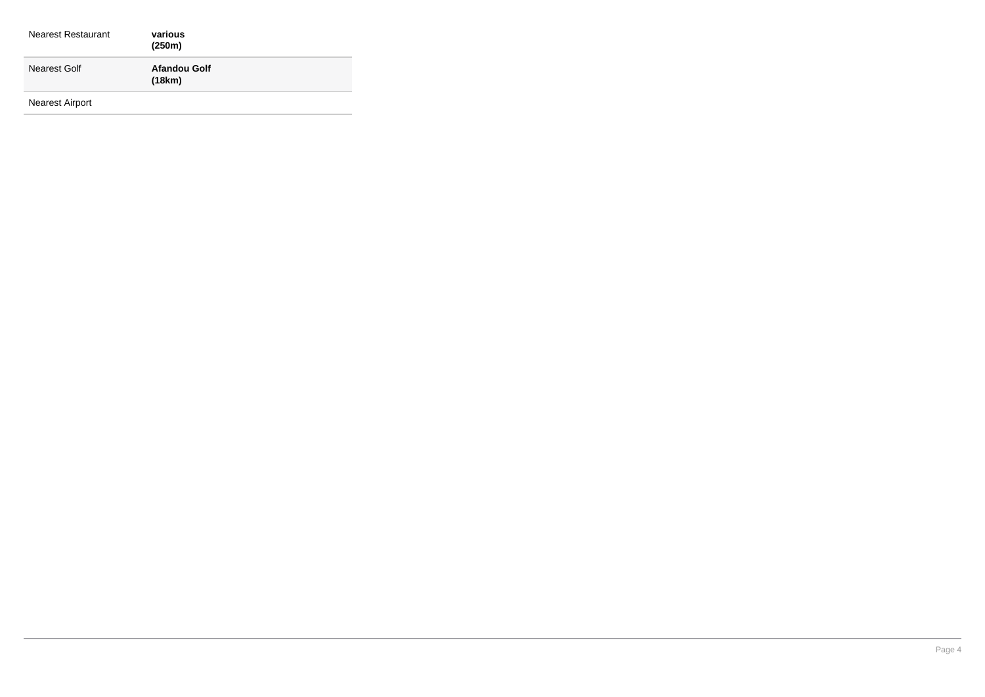| <b>Nearest Restaurant</b> | various<br>(250m)             |
|---------------------------|-------------------------------|
| Nearest Golf              | <b>Afandou Golf</b><br>(18km) |
|                           |                               |

Nearest Airport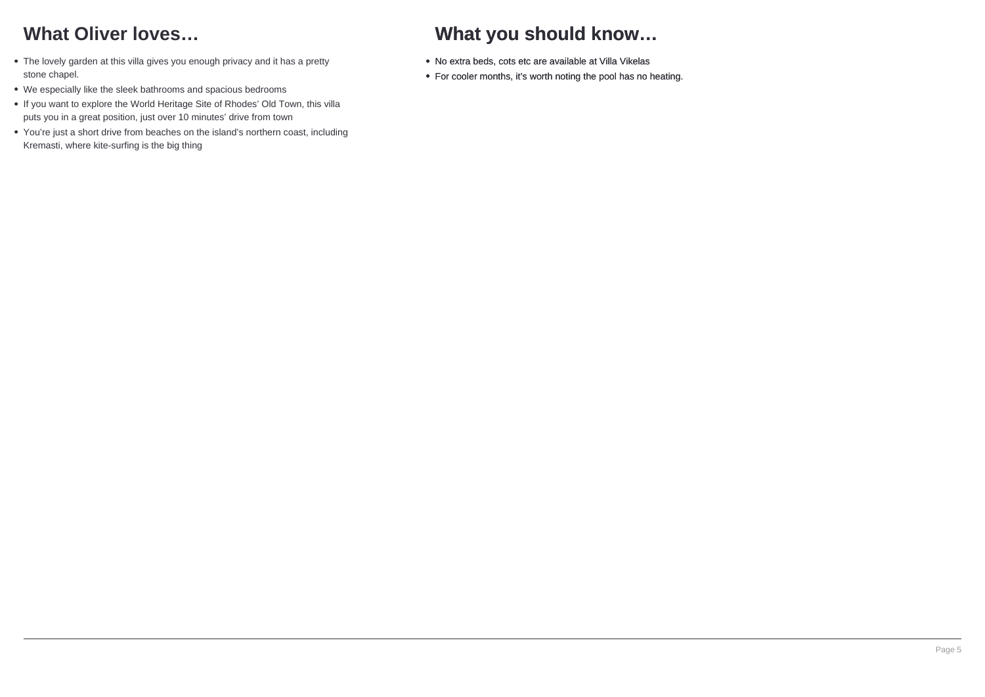# **What Oliver loves…**

- The lovely garden at this villa gives you enough privacy and it has a pretty stone chapel.
- We especially like the sleek bathrooms and spacious bedrooms
- If you want to explore the World Heritage Site of Rhodes' Old Town, this villa puts you in a great position, just over 10 minutes' drive from town
- You're just a short drive from beaches on the island's northern coast, including Kremasti, where kite-surfing is the big thing

# **What you should know…**

- No extra beds, cots etc are available at Villa Vikelas
- For cooler months, it's worth noting the pool has no heating.